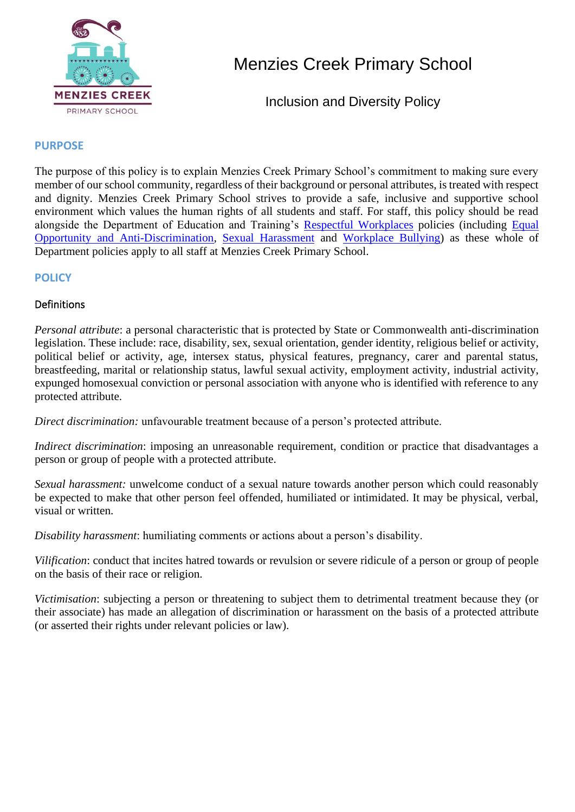

# Menzies Creek Primary School

Inclusion and Diversity Policy

# **PURPOSE**

The purpose of this policy is to explain Menzies Creek Primary School's commitment to making sure every member of our school community, regardless of their background or personal attributes, is treated with respect and dignity. Menzies Creek Primary School strives to provide a safe, inclusive and supportive school environment which values the human rights of all students and staff. For staff, this policy should be read alongside the Department of Education and Training's Respectful Workplaces policies (including Equal Opportunity and Anti-Discrimination, Sexual Harassment and Workplace Bullying) as these whole of Department policies apply to all staff at Menzies Creek Primary School.

## **POLICY**

## Definitions

*Personal attribute*: a personal characteristic that is protected by State or Commonwealth anti-discrimination legislation. These include: race, disability, sex, sexual orientation, gender identity, religious belief or activity, political belief or activity, age, intersex status, physical features, pregnancy, carer and parental status, breastfeeding, marital or relationship status, lawful sexual activity, employment activity, industrial activity, expunged homosexual conviction or personal association with anyone who is identified with reference to any protected attribute.

*Direct discrimination:* unfavourable treatment because of a person's protected attribute.

*Indirect discrimination*: imposing an unreasonable requirement, condition or practice that disadvantages a person or group of people with a protected attribute.

*Sexual harassment:* unwelcome conduct of a sexual nature towards another person which could reasonably be expected to make that other person feel offended, humiliated or intimidated. It may be physical, verbal, visual or written.

*Disability harassment*: humiliating comments or actions about a person's disability.

*Vilification*: conduct that incites hatred towards or revulsion or severe ridicule of a person or group of people on the basis of their race or religion.

*Victimisation*: subjecting a person or threatening to subject them to detrimental treatment because they (or their associate) has made an allegation of discrimination or harassment on the basis of a protected attribute (or asserted their rights under relevant policies or law).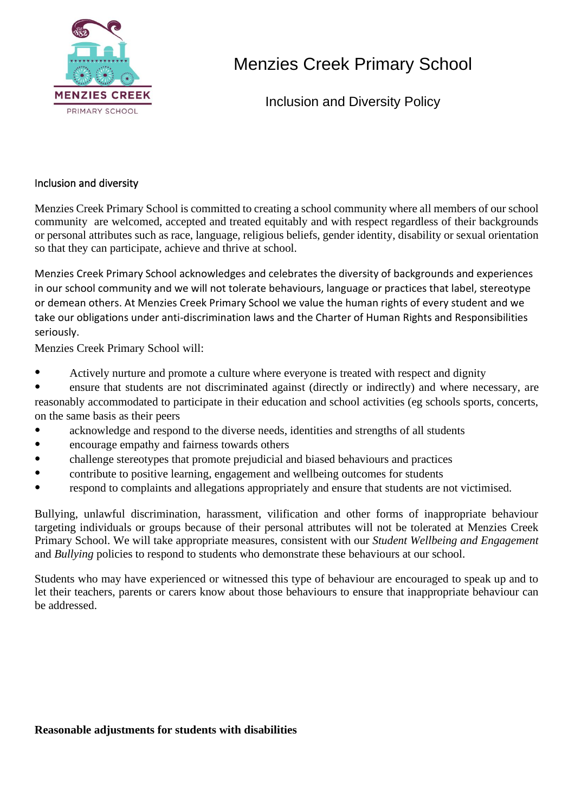

# Menzies Creek Primary School

Inclusion and Diversity Policy

### Inclusion and diversity

Menzies Creek Primary School is committed to creating a school community where all members of our school community are welcomed, accepted and treated equitably and with respect regardless of their backgrounds or personal attributes such as race, language, religious beliefs, gender identity, disability or sexual orientation so that they can participate, achieve and thrive at school.

Menzies Creek Primary School acknowledges and celebrates the diversity of backgrounds and experiences in our school community and we will not tolerate behaviours, language or practices that label, stereotype or demean others. At Menzies Creek Primary School we value the human rights of every student and we take our obligations under anti-discrimination laws and the Charter of Human Rights and Responsibilities seriously.

Menzies Creek Primary School will:

• Actively nurture and promote a culture where everyone is treated with respect and dignity

• ensure that students are not discriminated against (directly or indirectly) and where necessary, are reasonably accommodated to participate in their education and school activities (eg schools sports, concerts, on the same basis as their peers

- acknowledge and respond to the diverse needs, identities and strengths of all students
- encourage empathy and fairness towards others
- challenge stereotypes that promote prejudicial and biased behaviours and practices
- contribute to positive learning, engagement and wellbeing outcomes for students
- respond to complaints and allegations appropriately and ensure that students are not victimised.

Bullying, unlawful discrimination, harassment, vilification and other forms of inappropriate behaviour targeting individuals or groups because of their personal attributes will not be tolerated at Menzies Creek Primary School. We will take appropriate measures, consistent with our *Student Wellbeing and Engagement* and *Bullying* policies to respond to students who demonstrate these behaviours at our school.

Students who may have experienced or witnessed this type of behaviour are encouraged to speak up and to let their teachers, parents or carers know about those behaviours to ensure that inappropriate behaviour can be addressed.

#### **Reasonable adjustments for students with disabilities**